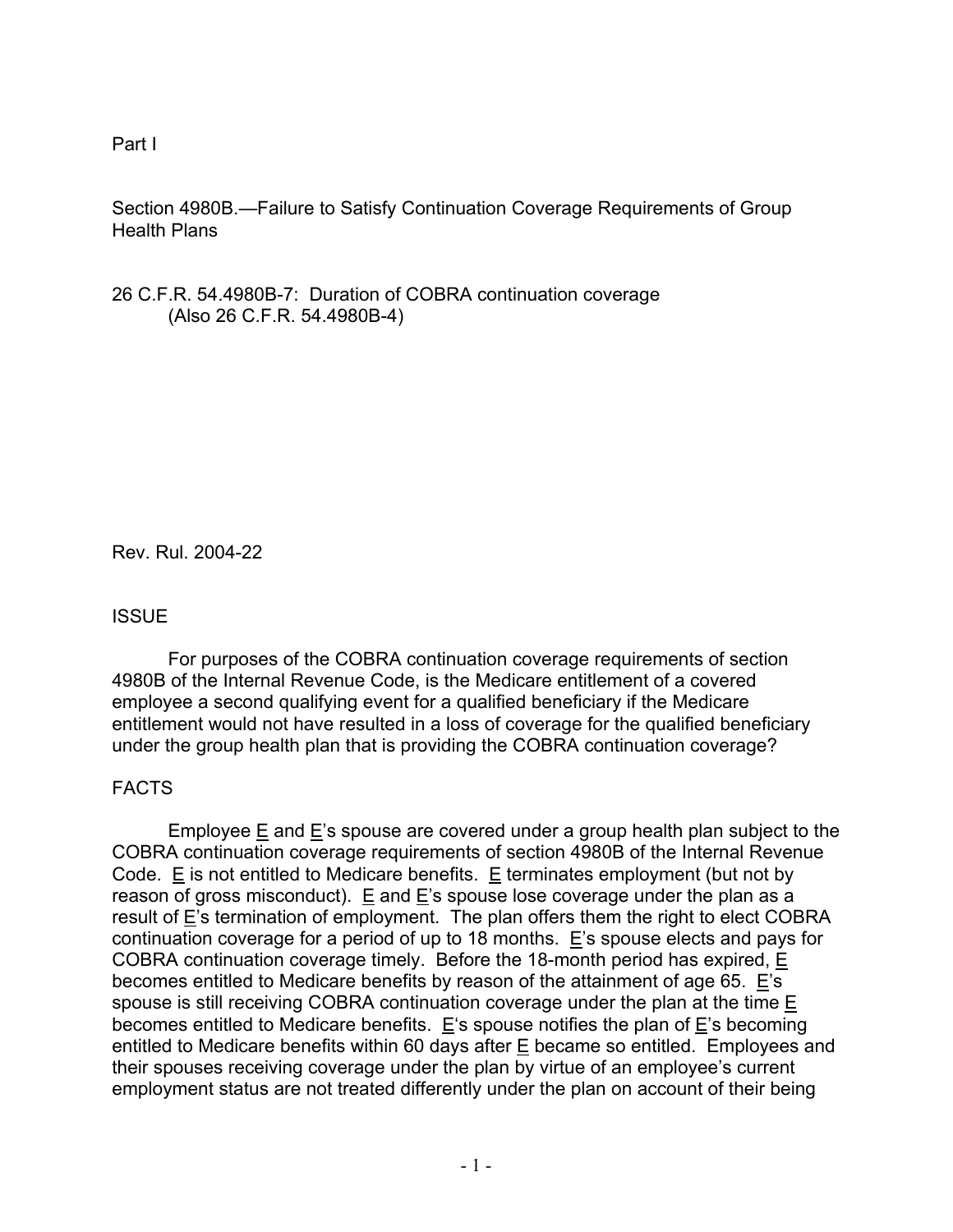Part I

Section 4980B.—Failure to Satisfy Continuation Coverage Requirements of Group Health Plans

26 C.F.R. 54.4980B-7: Duration of COBRA continuation coverage (Also 26 C.F.R. 54.4980B-4)

Rev. Rul. 2004-22

### **ISSUE**

 For purposes of the COBRA continuation coverage requirements of section 4980B of the Internal Revenue Code, is the Medicare entitlement of a covered employee a second qualifying event for a qualified beneficiary if the Medicare entitlement would not have resulted in a loss of coverage for the qualified beneficiary under the group health plan that is providing the COBRA continuation coverage?

# FACTS

Employee E and E's spouse are covered under a group health plan subject to the COBRA continuation coverage requirements of section 4980B of the Internal Revenue Code. E is not entitled to Medicare benefits.  $E$  terminates employment (but not by reason of gross misconduct). E and  $E$ 's spouse lose coverage under the plan as a result of E's termination of employment. The plan offers them the right to elect COBRA continuation coverage for a period of up to 18 months. E's spouse elects and pays for COBRA continuation coverage timely. Before the 18-month period has expired, E becomes entitled to Medicare benefits by reason of the attainment of age 65. E's spouse is still receiving COBRA continuation coverage under the plan at the time E becomes entitled to Medicare benefits. E's spouse notifies the plan of E's becoming entitled to Medicare benefits within 60 days after E became so entitled. Employees and their spouses receiving coverage under the plan by virtue of an employee's current employment status are not treated differently under the plan on account of their being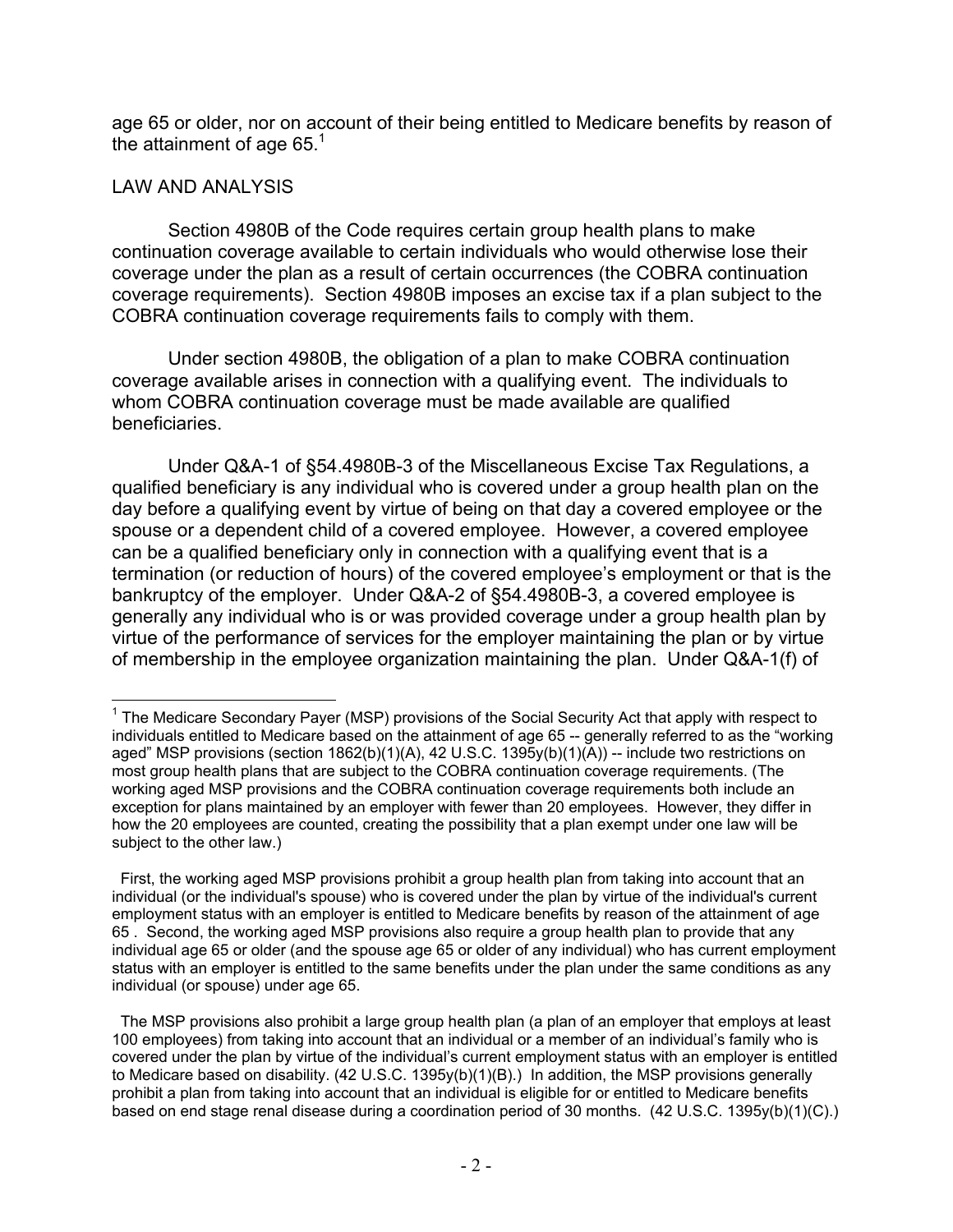age 65 or older, nor on account of their being entitled to Medicare benefits by reason of the attainment of age  $65<sup>1</sup>$ 

## LAW AND ANALYSIS

Section 4980B of the Code requires certain group health plans to make continuation coverage available to certain individuals who would otherwise lose their coverage under the plan as a result of certain occurrences (the COBRA continuation coverage requirements). Section 4980B imposes an excise tax if a plan subject to the COBRA continuation coverage requirements fails to comply with them.

Under section 4980B, the obligation of a plan to make COBRA continuation coverage available arises in connection with a qualifying event. The individuals to whom COBRA continuation coverage must be made available are qualified beneficiaries.

Under Q&A-1 of §54.4980B-3 of the Miscellaneous Excise Tax Regulations, a qualified beneficiary is any individual who is covered under a group health plan on the day before a qualifying event by virtue of being on that day a covered employee or the spouse or a dependent child of a covered employee. However, a covered employee can be a qualified beneficiary only in connection with a qualifying event that is a termination (or reduction of hours) of the covered employee's employment or that is the bankruptcy of the employer. Under Q&A-2 of §54.4980B-3, a covered employee is generally any individual who is or was provided coverage under a group health plan by virtue of the performance of services for the employer maintaining the plan or by virtue of membership in the employee organization maintaining the plan. Under Q&A-1(f) of

 $\overline{a}$ <sup>1</sup> The Medicare Secondary Payer (MSP) provisions of the Social Security Act that apply with respect to individuals entitled to Medicare based on the attainment of age 65 -- generally referred to as the "working aged" MSP provisions (section 1862(b)(1)(A), 42 U.S.C. 1395y(b)(1)(A)) -- include two restrictions on most group health plans that are subject to the COBRA continuation coverage requirements. (The working aged MSP provisions and the COBRA continuation coverage requirements both include an exception for plans maintained by an employer with fewer than 20 employees. However, they differ in how the 20 employees are counted, creating the possibility that a plan exempt under one law will be subject to the other law.)

First, the working aged MSP provisions prohibit a group health plan from taking into account that an individual (or the individual's spouse) who is covered under the plan by virtue of the individual's current employment status with an employer is entitled to Medicare benefits by reason of the attainment of age 65 . Second, the working aged MSP provisions also require a group health plan to provide that any individual age 65 or older (and the spouse age 65 or older of any individual) who has current employment status with an employer is entitled to the same benefits under the plan under the same conditions as any individual (or spouse) under age 65.

The MSP provisions also prohibit a large group health plan (a plan of an employer that employs at least 100 employees) from taking into account that an individual or a member of an individual's family who is covered under the plan by virtue of the individual's current employment status with an employer is entitled to Medicare based on disability. (42 U.S.C. 1395y(b)(1)(B).) In addition, the MSP provisions generally prohibit a plan from taking into account that an individual is eligible for or entitled to Medicare benefits based on end stage renal disease during a coordination period of 30 months. (42 U.S.C. 1395y(b)(1)(C).)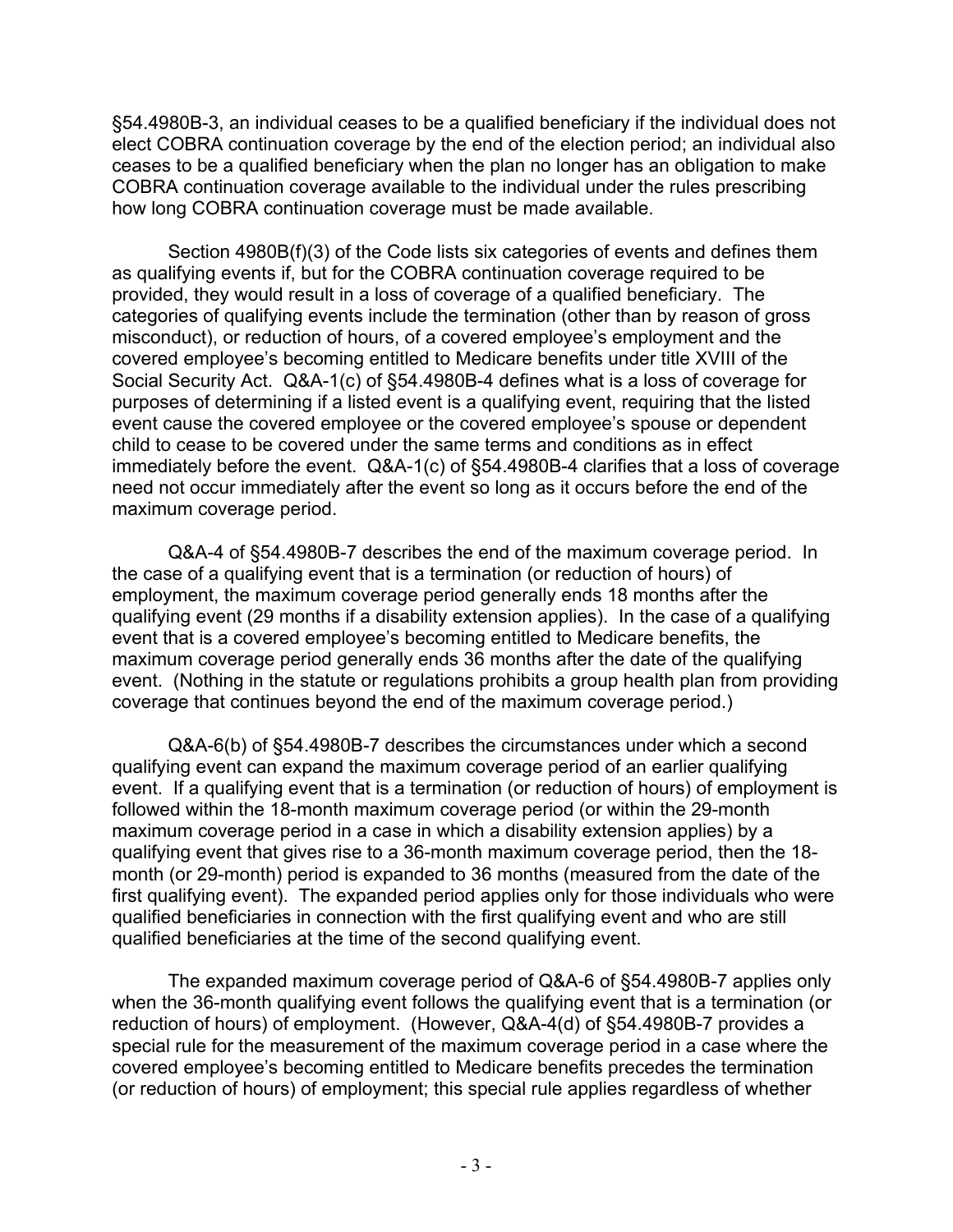§54.4980B-3, an individual ceases to be a qualified beneficiary if the individual does not elect COBRA continuation coverage by the end of the election period; an individual also ceases to be a qualified beneficiary when the plan no longer has an obligation to make COBRA continuation coverage available to the individual under the rules prescribing how long COBRA continuation coverage must be made available.

Section 4980B(f)(3) of the Code lists six categories of events and defines them as qualifying events if, but for the COBRA continuation coverage required to be provided, they would result in a loss of coverage of a qualified beneficiary. The categories of qualifying events include the termination (other than by reason of gross misconduct), or reduction of hours, of a covered employee's employment and the covered employee's becoming entitled to Medicare benefits under title XVIII of the Social Security Act. Q&A-1(c) of §54.4980B-4 defines what is a loss of coverage for purposes of determining if a listed event is a qualifying event, requiring that the listed event cause the covered employee or the covered employee's spouse or dependent child to cease to be covered under the same terms and conditions as in effect immediately before the event. Q&A-1(c) of §54.4980B-4 clarifies that a loss of coverage need not occur immediately after the event so long as it occurs before the end of the maximum coverage period.

Q&A-4 of §54.4980B-7 describes the end of the maximum coverage period. In the case of a qualifying event that is a termination (or reduction of hours) of employment, the maximum coverage period generally ends 18 months after the qualifying event (29 months if a disability extension applies). In the case of a qualifying event that is a covered employee's becoming entitled to Medicare benefits, the maximum coverage period generally ends 36 months after the date of the qualifying event. (Nothing in the statute or regulations prohibits a group health plan from providing coverage that continues beyond the end of the maximum coverage period.)

Q&A-6(b) of §54.4980B-7 describes the circumstances under which a second qualifying event can expand the maximum coverage period of an earlier qualifying event. If a qualifying event that is a termination (or reduction of hours) of employment is followed within the 18-month maximum coverage period (or within the 29-month maximum coverage period in a case in which a disability extension applies) by a qualifying event that gives rise to a 36-month maximum coverage period, then the 18 month (or 29-month) period is expanded to 36 months (measured from the date of the first qualifying event). The expanded period applies only for those individuals who were qualified beneficiaries in connection with the first qualifying event and who are still qualified beneficiaries at the time of the second qualifying event.

The expanded maximum coverage period of Q&A-6 of §54.4980B-7 applies only when the 36-month qualifying event follows the qualifying event that is a termination (or reduction of hours) of employment. (However, Q&A-4(d) of §54.4980B-7 provides a special rule for the measurement of the maximum coverage period in a case where the covered employee's becoming entitled to Medicare benefits precedes the termination (or reduction of hours) of employment; this special rule applies regardless of whether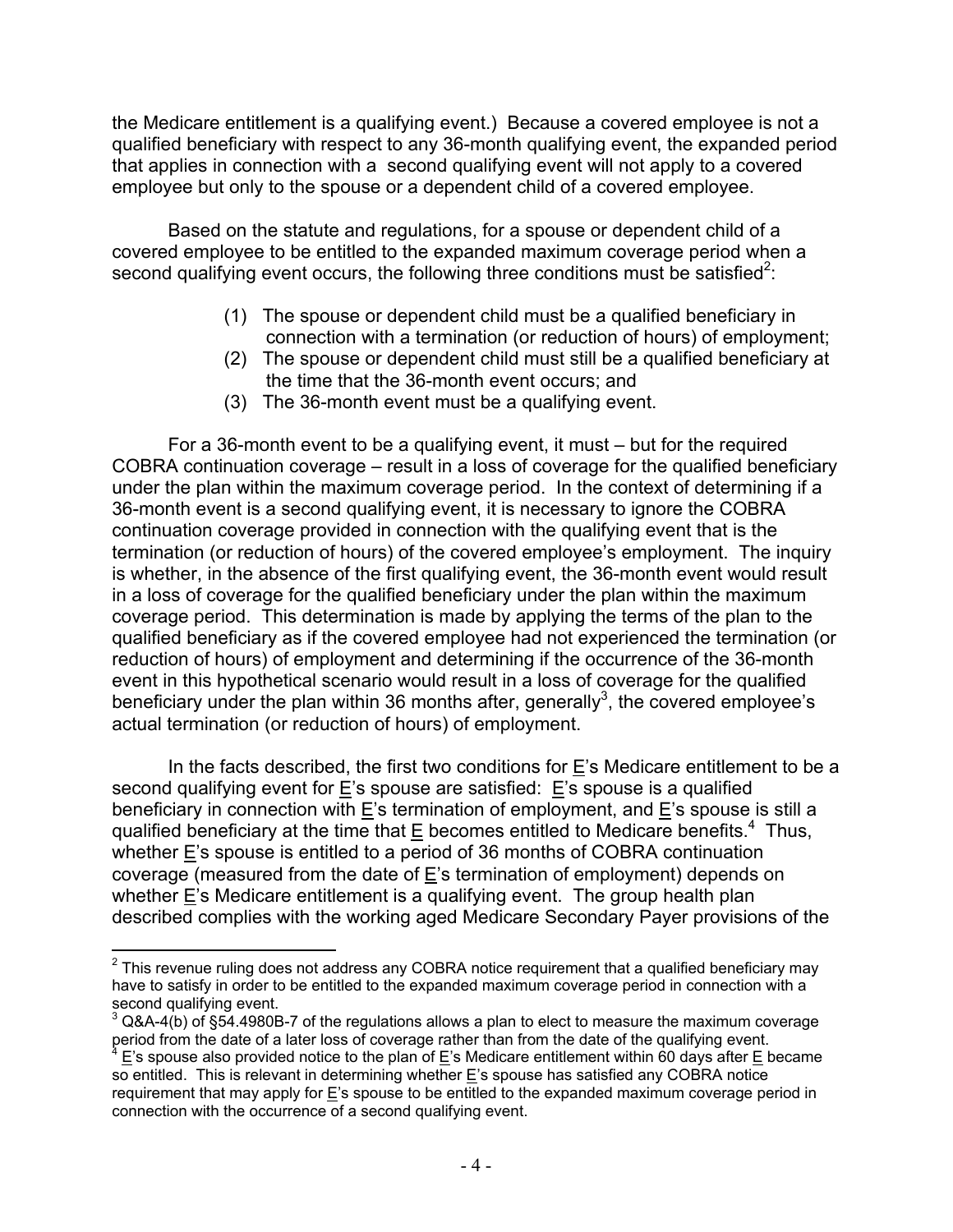the Medicare entitlement is a qualifying event.) Because a covered employee is not a qualified beneficiary with respect to any 36-month qualifying event, the expanded period that applies in connection with a second qualifying event will not apply to a covered employee but only to the spouse or a dependent child of a covered employee.

Based on the statute and regulations, for a spouse or dependent child of a covered employee to be entitled to the expanded maximum coverage period when a second qualifying event occurs, the following three conditions must be satisfied<sup>2</sup>:

- (1) The spouse or dependent child must be a qualified beneficiary in connection with a termination (or reduction of hours) of employment;
- (2) The spouse or dependent child must still be a qualified beneficiary at the time that the 36-month event occurs; and
- (3) The 36-month event must be a qualifying event.

 For a 36-month event to be a qualifying event, it must – but for the required COBRA continuation coverage – result in a loss of coverage for the qualified beneficiary under the plan within the maximum coverage period. In the context of determining if a 36-month event is a second qualifying event, it is necessary to ignore the COBRA continuation coverage provided in connection with the qualifying event that is the termination (or reduction of hours) of the covered employee's employment. The inquiry is whether, in the absence of the first qualifying event, the 36-month event would result in a loss of coverage for the qualified beneficiary under the plan within the maximum coverage period. This determination is made by applying the terms of the plan to the qualified beneficiary as if the covered employee had not experienced the termination (or reduction of hours) of employment and determining if the occurrence of the 36-month event in this hypothetical scenario would result in a loss of coverage for the qualified beneficiary under the plan within 36 months after, generally<sup>3</sup>, the covered employee's actual termination (or reduction of hours) of employment.

In the facts described, the first two conditions for E's Medicare entitlement to be a second qualifying event for E's spouse are satisfied: E's spouse is a qualified beneficiary in connection with E's termination of employment, and E's spouse is still a qualified beneficiary at the time that  $E$  becomes entitled to Medicare benefits.<sup>4</sup> Thus, whether E's spouse is entitled to a period of 36 months of COBRA continuation coverage (measured from the date of E's termination of employment) depends on whether  $E$ 's Medicare entitlement is a qualifying event. The group health plan described complies with the working aged Medicare Secondary Payer provisions of the

 $\overline{a}$  $2$  This revenue ruling does not address any COBRA notice requirement that a qualified beneficiary may have to satisfy in order to be entitled to the expanded maximum coverage period in connection with a second qualifying event.

 $3$  Q&A-4(b) of §54.4980B-7 of the regulations allows a plan to elect to measure the maximum coverage period from the date of a later loss of coverage rather than from the date of the qualifying event.

E's spouse also provided notice to the plan of E's Medicare entitlement within 60 days after E became so entitled. This is relevant in determining whether  $E$ 's spouse has satisfied any COBRA notice requirement that may apply for  $E$ 's spouse to be entitled to the expanded maximum coverage period in connection with the occurrence of a second qualifying event.